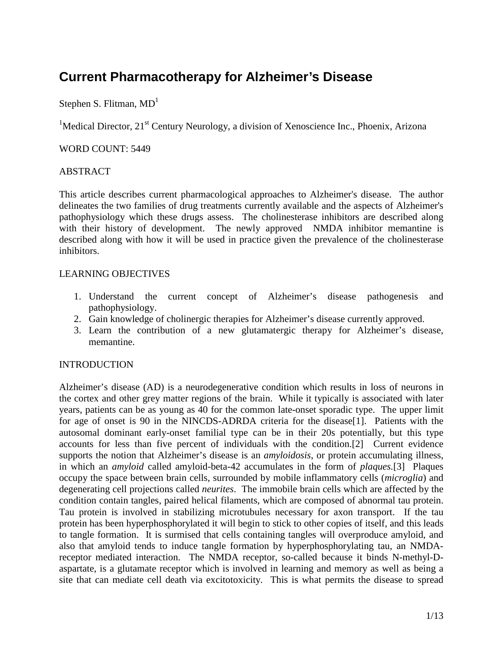# **Current Pharmacotherapy for Alzheimer's Disease**

Stephen S. Flitman,  $MD<sup>1</sup>$ 

<sup>1</sup>Medical Director, 21<sup>st</sup> Century Neurology, a division of Xenoscience Inc., Phoenix, Arizona

## WORD COUNT: 5449

## ABSTRACT

This article describes current pharmacological approaches to Alzheimer's disease. The author delineates the two families of drug treatments currently available and the aspects of Alzheimer's pathophysiology which these drugs assess. The cholinesterase inhibitors are described along with their history of development. The newly approved NMDA inhibitor memantine is described along with how it will be used in practice given the prevalence of the cholinesterase inhibitors.

#### LEARNING OBJECTIVES

- 1. Understand the current concept of Alzheimer's disease pathogenesis and pathophysiology.
- 2. Gain knowledge of cholinergic therapies for Alzheimer's disease currently approved.
- 3. Learn the contribution of a new glutamatergic therapy for Alzheimer's disease, memantine.

#### INTRODUCTION

Alzheimer's disease (AD) is a neurodegenerative condition which results in loss of neurons in the cortex and other grey matter regions of the brain. While it typically is associated with later years, patients can be as young as 40 for the common late-onset sporadic type. The upper limit for age of onset is 90 in the NINCDS-ADRDA criteria for the disease[1]. Patients with the autosomal dominant early-onset familial type can be in their 20s potentially, but this type accounts for less than five percent of individuals with the condition.[2] Current evidence supports the notion that Alzheimer's disease is an *amyloidosis*, or protein accumulating illness, in which an *amyloid* called amyloid-beta-42 accumulates in the form of *plaques.*[3] Plaques occupy the space between brain cells, surrounded by mobile inflammatory cells (*microglia*) and degenerating cell projections called *neurites*. The immobile brain cells which are affected by the condition contain tangles, paired helical filaments, which are composed of abnormal tau protein. Tau protein is involved in stabilizing microtubules necessary for axon transport. If the tau protein has been hyperphosphorylated it will begin to stick to other copies of itself, and this leads to tangle formation. It is surmised that cells containing tangles will overproduce amyloid, and also that amyloid tends to induce tangle formation by hyperphosphorylating tau, an NMDAreceptor mediated interaction. The NMDA receptor, so-called because it binds N-methyl-Daspartate, is a glutamate receptor which is involved in learning and memory as well as being a site that can mediate cell death via excitotoxicity. This is what permits the disease to spread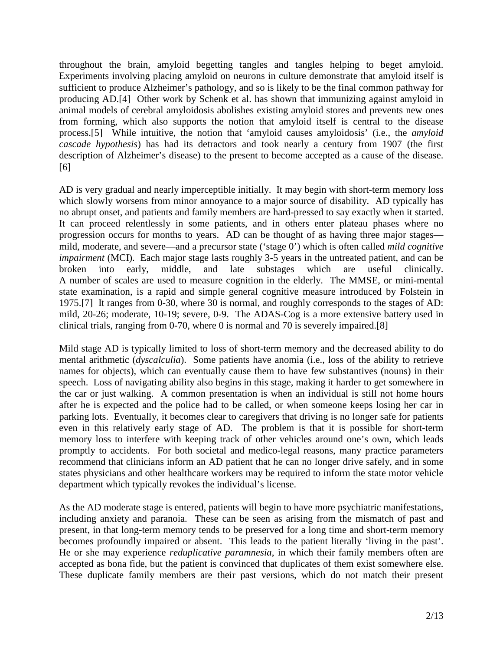throughout the brain, amyloid begetting tangles and tangles helping to beget amyloid. Experiments involving placing amyloid on neurons in culture demonstrate that amyloid itself is sufficient to produce Alzheimer's pathology, and so is likely to be the final common pathway for producing AD.[4] Other work by Schenk et al. has shown that immunizing against amyloid in animal models of cerebral amyloidosis abolishes existing amyloid stores and prevents new ones from forming, which also supports the notion that amyloid itself is central to the disease process.[5] While intuitive, the notion that 'amyloid causes amyloidosis' (i.e., the *amyloid cascade hypothesis*) has had its detractors and took nearly a century from 1907 (the first description of Alzheimer's disease) to the present to become accepted as a cause of the disease. [6]

AD is very gradual and nearly imperceptible initially. It may begin with short-term memory loss which slowly worsens from minor annoyance to a major source of disability. AD typically has no abrupt onset, and patients and family members are hard-pressed to say exactly when it started. It can proceed relentlessly in some patients, and in others enter plateau phases where no progression occurs for months to years. AD can be thought of as having three major stages mild, moderate, and severe—and a precursor state ('stage 0') which is often called *mild cognitive impairment* (MCI). Each major stage lasts roughly 3-5 years in the untreated patient, and can be broken into early, middle, and late substages which are useful clinically. A number of scales are used to measure cognition in the elderly. The MMSE, or mini-mental state examination, is a rapid and simple general cognitive measure introduced by Folstein in 1975.[7] It ranges from 0-30, where 30 is normal, and roughly corresponds to the stages of AD: mild, 20-26; moderate, 10-19; severe, 0-9. The ADAS-Cog is a more extensive battery used in clinical trials, ranging from 0-70, where 0 is normal and 70 is severely impaired.[8]

Mild stage AD is typically limited to loss of short-term memory and the decreased ability to do mental arithmetic (*dyscalculia*). Some patients have anomia (i.e., loss of the ability to retrieve names for objects), which can eventually cause them to have few substantives (nouns) in their speech. Loss of navigating ability also begins in this stage, making it harder to get somewhere in the car or just walking. A common presentation is when an individual is still not home hours after he is expected and the police had to be called, or when someone keeps losing her car in parking lots. Eventually, it becomes clear to caregivers that driving is no longer safe for patients even in this relatively early stage of AD. The problem is that it is possible for short-term memory loss to interfere with keeping track of other vehicles around one's own, which leads promptly to accidents. For both societal and medico-legal reasons, many practice parameters recommend that clinicians inform an AD patient that he can no longer drive safely, and in some states physicians and other healthcare workers may be required to inform the state motor vehicle department which typically revokes the individual's license.

As the AD moderate stage is entered, patients will begin to have more psychiatric manifestations, including anxiety and paranoia. These can be seen as arising from the mismatch of past and present, in that long-term memory tends to be preserved for a long time and short-term memory becomes profoundly impaired or absent. This leads to the patient literally 'living in the past'. He or she may experience *reduplicative paramnesia*, in which their family members often are accepted as bona fide, but the patient is convinced that duplicates of them exist somewhere else. These duplicate family members are their past versions, which do not match their present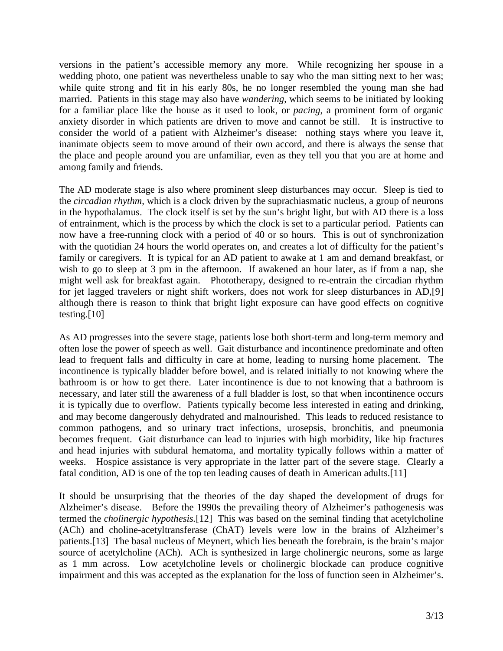versions in the patient's accessible memory any more. While recognizing her spouse in a wedding photo, one patient was nevertheless unable to say who the man sitting next to her was; while quite strong and fit in his early 80s, he no longer resembled the young man she had married. Patients in this stage may also have *wandering*, which seems to be initiated by looking for a familiar place like the house as it used to look, or *pacing*, a prominent form of organic anxiety disorder in which patients are driven to move and cannot be still. It is instructive to consider the world of a patient with Alzheimer's disease: nothing stays where you leave it, inanimate objects seem to move around of their own accord, and there is always the sense that the place and people around you are unfamiliar, even as they tell you that you are at home and among family and friends.

The AD moderate stage is also where prominent sleep disturbances may occur. Sleep is tied to the *circadian rhythm*, which is a clock driven by the suprachiasmatic nucleus, a group of neurons in the hypothalamus. The clock itself is set by the sun's bright light, but with AD there is a loss of entrainment, which is the process by which the clock is set to a particular period. Patients can now have a free-running clock with a period of 40 or so hours. This is out of synchronization with the quotidian 24 hours the world operates on, and creates a lot of difficulty for the patient's family or caregivers. It is typical for an AD patient to awake at 1 am and demand breakfast, or wish to go to sleep at 3 pm in the afternoon. If awakened an hour later, as if from a nap, she might well ask for breakfast again. Phototherapy, designed to re-entrain the circadian rhythm for jet lagged travelers or night shift workers, does not work for sleep disturbances in AD,[9] although there is reason to think that bright light exposure can have good effects on cognitive testing. $[10]$ 

As AD progresses into the severe stage, patients lose both short-term and long-term memory and often lose the power of speech as well. Gait disturbance and incontinence predominate and often lead to frequent falls and difficulty in care at home, leading to nursing home placement. The incontinence is typically bladder before bowel, and is related initially to not knowing where the bathroom is or how to get there. Later incontinence is due to not knowing that a bathroom is necessary, and later still the awareness of a full bladder is lost, so that when incontinence occurs it is typically due to overflow. Patients typically become less interested in eating and drinking, and may become dangerously dehydrated and malnourished. This leads to reduced resistance to common pathogens, and so urinary tract infections, urosepsis, bronchitis, and pneumonia becomes frequent. Gait disturbance can lead to injuries with high morbidity, like hip fractures and head injuries with subdural hematoma, and mortality typically follows within a matter of weeks. Hospice assistance is very appropriate in the latter part of the severe stage. Clearly a fatal condition, AD is one of the top ten leading causes of death in American adults.[11]

It should be unsurprising that the theories of the day shaped the development of drugs for Alzheimer's disease. Before the 1990s the prevailing theory of Alzheimer's pathogenesis was termed the *cholinergic hypothesis.*[12] This was based on the seminal finding that acetylcholine (ACh) and choline-acetyltransferase (ChAT) levels were low in the brains of Alzheimer's patients.[13] The basal nucleus of Meynert, which lies beneath the forebrain, is the brain's major source of acetylcholine (ACh). ACh is synthesized in large cholinergic neurons, some as large as 1 mm across. Low acetylcholine levels or cholinergic blockade can produce cognitive impairment and this was accepted as the explanation for the loss of function seen in Alzheimer's.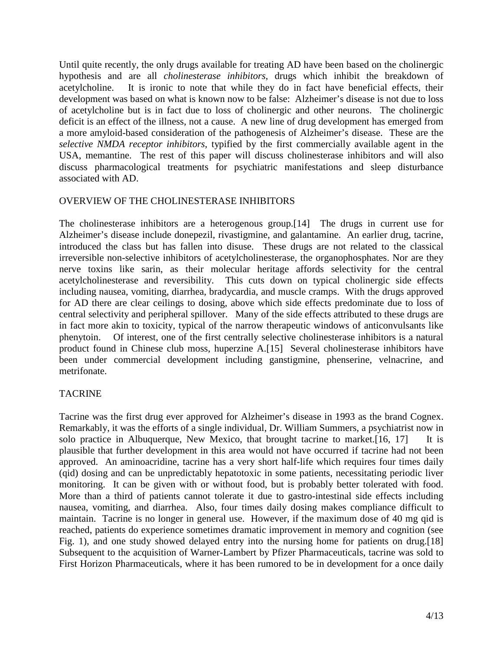Until quite recently, the only drugs available for treating AD have been based on the cholinergic hypothesis and are all *cholinesterase inhibitors*, drugs which inhibit the breakdown of acetylcholine. It is ironic to note that while they do in fact have beneficial effects, their development was based on what is known now to be false: Alzheimer's disease is not due to loss of acetylcholine but is in fact due to loss of cholinergic and other neurons. The cholinergic deficit is an effect of the illness, not a cause. A new line of drug development has emerged from a more amyloid-based consideration of the pathogenesis of Alzheimer's disease. These are the *selective NMDA receptor inhibitors*, typified by the first commercially available agent in the USA, memantine. The rest of this paper will discuss cholinesterase inhibitors and will also discuss pharmacological treatments for psychiatric manifestations and sleep disturbance associated with AD.

## OVERVIEW OF THE CHOLINESTERASE INHIBITORS

The cholinesterase inhibitors are a heterogenous group.[14] The drugs in current use for Alzheimer's disease include donepezil, rivastigmine, and galantamine. An earlier drug, tacrine, introduced the class but has fallen into disuse. These drugs are not related to the classical irreversible non-selective inhibitors of acetylcholinesterase, the organophosphates. Nor are they nerve toxins like sarin, as their molecular heritage affords selectivity for the central acetylcholinesterase and reversibility. This cuts down on typical cholinergic side effects including nausea, vomiting, diarrhea, bradycardia, and muscle cramps. With the drugs approved for AD there are clear ceilings to dosing, above which side effects predominate due to loss of central selectivity and peripheral spillover. Many of the side effects attributed to these drugs are in fact more akin to toxicity, typical of the narrow therapeutic windows of anticonvulsants like phenytoin. Of interest, one of the first centrally selective cholinesterase inhibitors is a natural product found in Chinese club moss, huperzine A.[15] Several cholinesterase inhibitors have been under commercial development including ganstigmine, phenserine, velnacrine, and metrifonate.

# **TACRINE**

Tacrine was the first drug ever approved for Alzheimer's disease in 1993 as the brand Cognex. Remarkably, it was the efforts of a single individual, Dr. William Summers, a psychiatrist now in solo practice in Albuquerque, New Mexico, that brought tacrine to market.[16, 17] It is plausible that further development in this area would not have occurred if tacrine had not been approved. An aminoacridine, tacrine has a very short half-life which requires four times daily (qid) dosing and can be unpredictably hepatotoxic in some patients, necessitating periodic liver monitoring. It can be given with or without food, but is probably better tolerated with food. More than a third of patients cannot tolerate it due to gastro-intestinal side effects including nausea, vomiting, and diarrhea. Also, four times daily dosing makes compliance difficult to maintain. Tacrine is no longer in general use. However, if the maximum dose of 40 mg qid is reached, patients do experience sometimes dramatic improvement in memory and cognition (see Fig. 1), and one study showed delayed entry into the nursing home for patients on drug.[18] Subsequent to the acquisition of Warner-Lambert by Pfizer Pharmaceuticals, tacrine was sold to First Horizon Pharmaceuticals, where it has been rumored to be in development for a once daily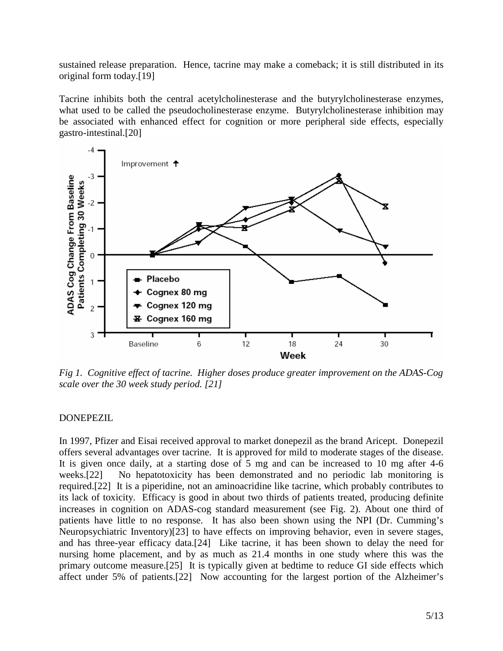sustained release preparation. Hence, tacrine may make a comeback; it is still distributed in its original form today.[19]

Tacrine inhibits both the central acetylcholinesterase and the butyrylcholinesterase enzymes, what used to be called the pseudocholinesterase enzyme. Butyrylcholinesterase inhibition may be associated with enhanced effect for cognition or more peripheral side effects, especially gastro-intestinal.[20]



*Fig 1. Cognitive effect of tacrine. Higher doses produce greater improvement on the ADAS-Cog scale over the 30 week study period. [21]* 

#### DONEPEZIL

In 1997, Pfizer and Eisai received approval to market donepezil as the brand Aricept. Donepezil offers several advantages over tacrine. It is approved for mild to moderate stages of the disease. It is given once daily, at a starting dose of 5 mg and can be increased to 10 mg after 4-6 weeks.[22] No hepatotoxicity has been demonstrated and no periodic lab monitoring is required.[22] It is a piperidine, not an aminoacridine like tacrine, which probably contributes to its lack of toxicity. Efficacy is good in about two thirds of patients treated, producing definite increases in cognition on ADAS-cog standard measurement (see Fig. 2). About one third of patients have little to no response. It has also been shown using the NPI (Dr. Cumming's Neuropsychiatric Inventory)[23] to have effects on improving behavior, even in severe stages, and has three-year efficacy data.[24] Like tacrine, it has been shown to delay the need for nursing home placement, and by as much as 21.4 months in one study where this was the primary outcome measure.[25] It is typically given at bedtime to reduce GI side effects which affect under 5% of patients.[22] Now accounting for the largest portion of the Alzheimer's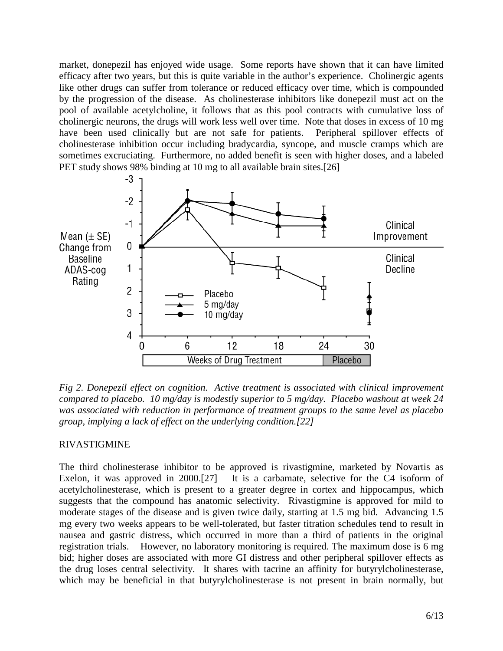market, donepezil has enjoyed wide usage. Some reports have shown that it can have limited efficacy after two years, but this is quite variable in the author's experience. Cholinergic agents like other drugs can suffer from tolerance or reduced efficacy over time, which is compounded by the progression of the disease. As cholinesterase inhibitors like donepezil must act on the pool of available acetylcholine, it follows that as this pool contracts with cumulative loss of cholinergic neurons, the drugs will work less well over time. Note that doses in excess of 10 mg have been used clinically but are not safe for patients. Peripheral spillover effects of cholinesterase inhibition occur including bradycardia, syncope, and muscle cramps which are sometimes excruciating. Furthermore, no added benefit is seen with higher doses, and a labeled PET study shows 98% binding at 10 mg to all available brain sites.[26]



*Fig 2. Donepezil effect on cognition. Active treatment is associated with clinical improvement compared to placebo. 10 mg/day is modestly superior to 5 mg/day. Placebo washout at week 24 was associated with reduction in performance of treatment groups to the same level as placebo group, implying a lack of effect on the underlying condition.[22]* 

#### RIVASTIGMINE

The third cholinesterase inhibitor to be approved is rivastigmine, marketed by Novartis as Exelon, it was approved in 2000.<sup>[27]</sup> It is a carbamate, selective for the C4 isoform of acetylcholinesterase, which is present to a greater degree in cortex and hippocampus, which suggests that the compound has anatomic selectivity. Rivastigmine is approved for mild to moderate stages of the disease and is given twice daily, starting at 1.5 mg bid. Advancing 1.5 mg every two weeks appears to be well-tolerated, but faster titration schedules tend to result in nausea and gastric distress, which occurred in more than a third of patients in the original registration trials. However, no laboratory monitoring is required. The maximum dose is 6 mg bid; higher doses are associated with more GI distress and other peripheral spillover effects as the drug loses central selectivity. It shares with tacrine an affinity for butyrylcholinesterase, which may be beneficial in that butyrylcholinesterase is not present in brain normally, but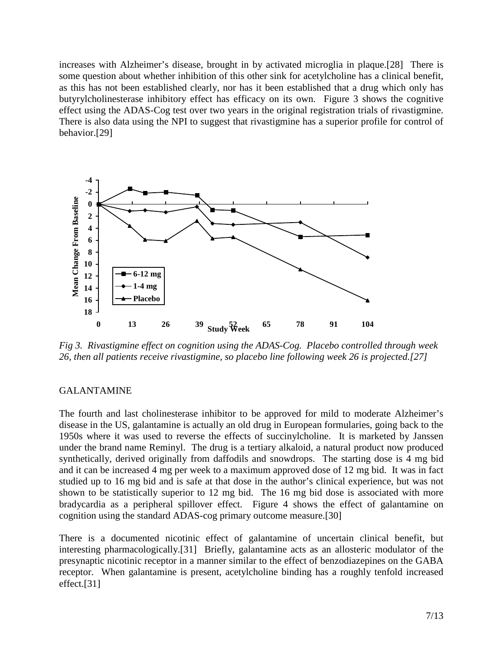increases with Alzheimer's disease, brought in by activated microglia in plaque.[28] There is some question about whether inhibition of this other sink for acetylcholine has a clinical benefit, as this has not been established clearly, nor has it been established that a drug which only has butyrylcholinesterase inhibitory effect has efficacy on its own. Figure 3 shows the cognitive effect using the ADAS-Cog test over two years in the original registration trials of rivastigmine. There is also data using the NPI to suggest that rivastigmine has a superior profile for control of behavior.[29]



*Fig 3. Rivastigmine effect on cognition using the ADAS-Cog. Placebo controlled through week 26, then all patients receive rivastigmine, so placebo line following week 26 is projected.[27]* 

#### GALANTAMINE

The fourth and last cholinesterase inhibitor to be approved for mild to moderate Alzheimer's disease in the US, galantamine is actually an old drug in European formularies, going back to the 1950s where it was used to reverse the effects of succinylcholine. It is marketed by Janssen under the brand name Reminyl. The drug is a tertiary alkaloid, a natural product now produced synthetically, derived originally from daffodils and snowdrops. The starting dose is 4 mg bid and it can be increased 4 mg per week to a maximum approved dose of 12 mg bid. It was in fact studied up to 16 mg bid and is safe at that dose in the author's clinical experience, but was not shown to be statistically superior to 12 mg bid. The 16 mg bid dose is associated with more bradycardia as a peripheral spillover effect. Figure 4 shows the effect of galantamine on cognition using the standard ADAS-cog primary outcome measure.[30]

There is a documented nicotinic effect of galantamine of uncertain clinical benefit, but interesting pharmacologically.[31] Briefly, galantamine acts as an allosteric modulator of the presynaptic nicotinic receptor in a manner similar to the effect of benzodiazepines on the GABA receptor. When galantamine is present, acetylcholine binding has a roughly tenfold increased effect.[31]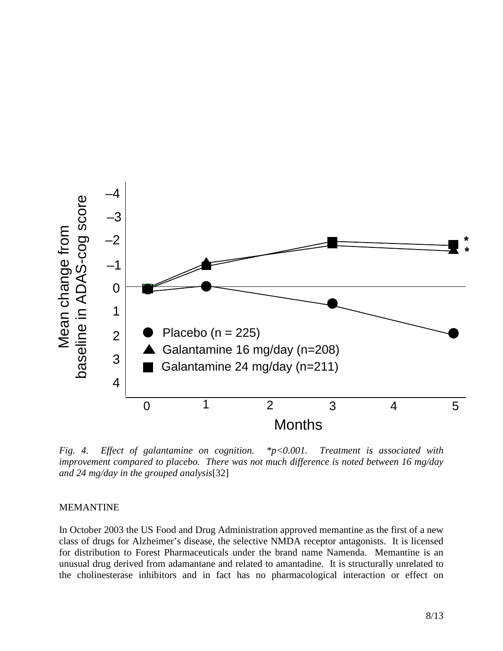

*Fig. 4. Effect of galantamine on cognition. \*p<0.001. Treatment is associated with improvement compared to placebo. There was not much difference is noted between 16 mg/day and 24 mg/day in the grouped analysis*[32]

#### MEMANTINE

In October 2003 the US Food and Drug Administration approved memantine as the first of a new class of drugs for Alzheimer's disease, the selective NMDA receptor antagonists. It is licensed for distribution to Forest Pharmaceuticals under the brand name Namenda. Memantine is an unusual drug derived from adamantane and related to amantadine. It is structurally unrelated to the cholinesterase inhibitors and in fact has no pharmacological interaction or effect on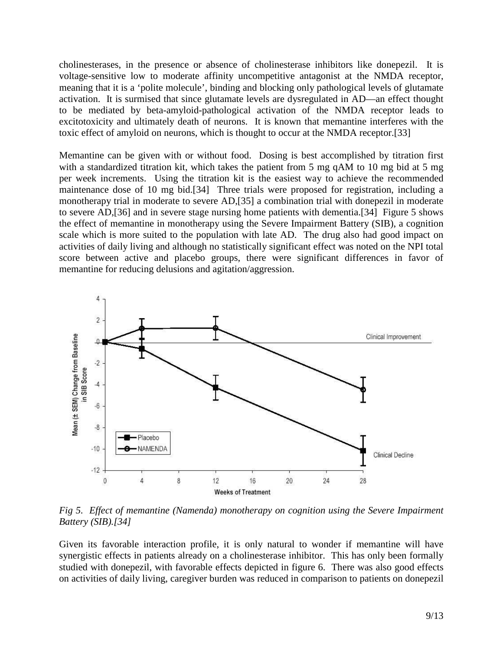cholinesterases, in the presence or absence of cholinesterase inhibitors like donepezil. It is voltage-sensitive low to moderate affinity uncompetitive antagonist at the NMDA receptor, meaning that it is a 'polite molecule', binding and blocking only pathological levels of glutamate activation. It is surmised that since glutamate levels are dysregulated in AD—an effect thought to be mediated by beta-amyloid-pathological activation of the NMDA receptor leads to excitotoxicity and ultimately death of neurons. It is known that memantine interferes with the toxic effect of amyloid on neurons, which is thought to occur at the NMDA receptor.[33]

Memantine can be given with or without food. Dosing is best accomplished by titration first with a standardized titration kit, which takes the patient from 5 mg qAM to 10 mg bid at 5 mg per week increments. Using the titration kit is the easiest way to achieve the recommended maintenance dose of 10 mg bid.[34] Three trials were proposed for registration, including a monotherapy trial in moderate to severe AD,[35] a combination trial with donepezil in moderate to severe AD,[36] and in severe stage nursing home patients with dementia.[34] Figure 5 shows the effect of memantine in monotherapy using the Severe Impairment Battery (SIB), a cognition scale which is more suited to the population with late AD. The drug also had good impact on activities of daily living and although no statistically significant effect was noted on the NPI total score between active and placebo groups, there were significant differences in favor of memantine for reducing delusions and agitation/aggression.



*Fig 5. Effect of memantine (Namenda) monotherapy on cognition using the Severe Impairment Battery (SIB).[34]* 

Given its favorable interaction profile, it is only natural to wonder if memantine will have synergistic effects in patients already on a cholinesterase inhibitor. This has only been formally studied with donepezil, with favorable effects depicted in figure 6. There was also good effects on activities of daily living, caregiver burden was reduced in comparison to patients on donepezil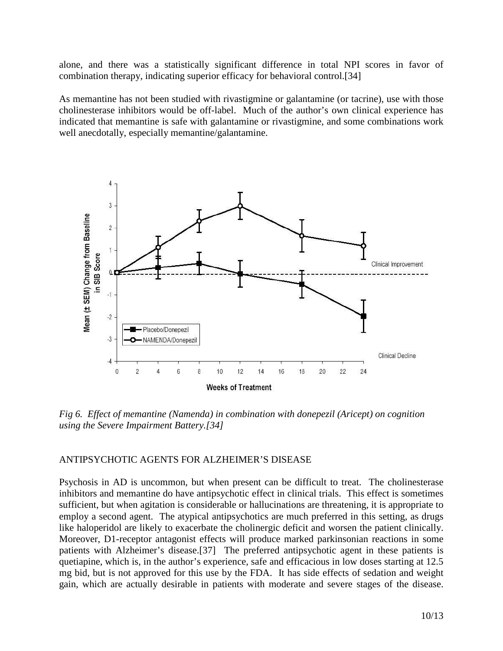alone, and there was a statistically significant difference in total NPI scores in favor of combination therapy, indicating superior efficacy for behavioral control.[34]

As memantine has not been studied with rivastigmine or galantamine (or tacrine), use with those cholinesterase inhibitors would be off-label. Much of the author's own clinical experience has indicated that memantine is safe with galantamine or rivastigmine, and some combinations work well anecdotally, especially memantine/galantamine.



*Fig 6. Effect of memantine (Namenda) in combination with donepezil (Aricept) on cognition using the Severe Impairment Battery.[34]* 

#### ANTIPSYCHOTIC AGENTS FOR ALZHEIMER'S DISEASE

Psychosis in AD is uncommon, but when present can be difficult to treat. The cholinesterase inhibitors and memantine do have antipsychotic effect in clinical trials. This effect is sometimes sufficient, but when agitation is considerable or hallucinations are threatening, it is appropriate to employ a second agent. The atypical antipsychotics are much preferred in this setting, as drugs like haloperidol are likely to exacerbate the cholinergic deficit and worsen the patient clinically. Moreover, D1-receptor antagonist effects will produce marked parkinsonian reactions in some patients with Alzheimer's disease.[37] The preferred antipsychotic agent in these patients is quetiapine, which is, in the author's experience, safe and efficacious in low doses starting at 12.5 mg bid, but is not approved for this use by the FDA. It has side effects of sedation and weight gain, which are actually desirable in patients with moderate and severe stages of the disease.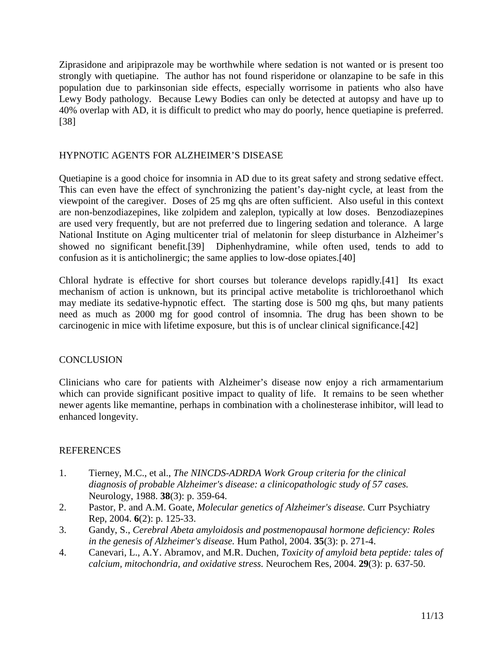Ziprasidone and aripiprazole may be worthwhile where sedation is not wanted or is present too strongly with quetiapine. The author has not found risperidone or olanzapine to be safe in this population due to parkinsonian side effects, especially worrisome in patients who also have Lewy Body pathology. Because Lewy Bodies can only be detected at autopsy and have up to 40% overlap with AD, it is difficult to predict who may do poorly, hence quetiapine is preferred. [38]

# HYPNOTIC AGENTS FOR ALZHEIMER'S DISEASE

Quetiapine is a good choice for insomnia in AD due to its great safety and strong sedative effect. This can even have the effect of synchronizing the patient's day-night cycle, at least from the viewpoint of the caregiver. Doses of 25 mg qhs are often sufficient. Also useful in this context are non-benzodiazepines, like zolpidem and zaleplon, typically at low doses. Benzodiazepines are used very frequently, but are not preferred due to lingering sedation and tolerance. A large National Institute on Aging multicenter trial of melatonin for sleep disturbance in Alzheimer's showed no significant benefit.[39] Diphenhydramine, while often used, tends to add to confusion as it is anticholinergic; the same applies to low-dose opiates.[40]

Chloral hydrate is effective for short courses but tolerance develops rapidly.[41] Its exact mechanism of action is unknown, but its principal active metabolite is trichloroethanol which may mediate its sedative-hypnotic effect. The starting dose is 500 mg qhs, but many patients need as much as 2000 mg for good control of insomnia. The drug has been shown to be carcinogenic in mice with lifetime exposure, but this is of unclear clinical significance.[42]

# **CONCLUSION**

Clinicians who care for patients with Alzheimer's disease now enjoy a rich armamentarium which can provide significant positive impact to quality of life. It remains to be seen whether newer agents like memantine, perhaps in combination with a cholinesterase inhibitor, will lead to enhanced longevity.

# **REFERENCES**

- 1. Tierney, M.C., et al., *The NINCDS-ADRDA Work Group criteria for the clinical diagnosis of probable Alzheimer's disease: a clinicopathologic study of 57 cases.* Neurology, 1988. **38**(3): p. 359-64.
- 2. Pastor, P. and A.M. Goate, *Molecular genetics of Alzheimer's disease.* Curr Psychiatry Rep, 2004. **6**(2): p. 125-33.
- 3. Gandy, S., *Cerebral Abeta amyloidosis and postmenopausal hormone deficiency: Roles in the genesis of Alzheimer's disease.* Hum Pathol, 2004. **35**(3): p. 271-4.
- 4. Canevari, L., A.Y. Abramov, and M.R. Duchen, *Toxicity of amyloid beta peptide: tales of calcium, mitochondria, and oxidative stress.* Neurochem Res, 2004. **29**(3): p. 637-50.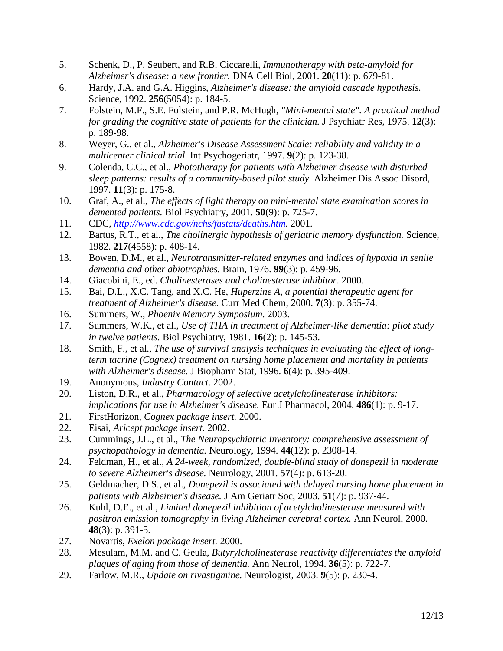- 5. Schenk, D., P. Seubert, and R.B. Ciccarelli, *Immunotherapy with beta-amyloid for Alzheimer's disease: a new frontier.* DNA Cell Biol, 2001. **20**(11): p. 679-81.
- 6. Hardy, J.A. and G.A. Higgins, *Alzheimer's disease: the amyloid cascade hypothesis.* Science, 1992. **256**(5054): p. 184-5.
- 7. Folstein, M.F., S.E. Folstein, and P.R. McHugh, *"Mini-mental state". A practical method for grading the cognitive state of patients for the clinician.* J Psychiatr Res, 1975. **12**(3): p. 189-98.
- 8. Weyer, G., et al., *Alzheimer's Disease Assessment Scale: reliability and validity in a multicenter clinical trial.* Int Psychogeriatr, 1997. **9**(2): p. 123-38.
- 9. Colenda, C.C., et al., *Phototherapy for patients with Alzheimer disease with disturbed sleep patterns: results of a community-based pilot study.* Alzheimer Dis Assoc Disord, 1997. **11**(3): p. 175-8.
- 10. Graf, A., et al., *The effects of light therapy on mini-mental state examination scores in demented patients.* Biol Psychiatry, 2001. **50**(9): p. 725-7.
- 11. CDC, *http://www.cdc.gov/nchs/fastats/deaths.htm*. 2001.
- 12. Bartus, R.T., et al., *The cholinergic hypothesis of geriatric memory dysfunction.* Science, 1982. **217**(4558): p. 408-14.
- 13. Bowen, D.M., et al., *Neurotransmitter-related enzymes and indices of hypoxia in senile dementia and other abiotrophies.* Brain, 1976. **99**(3): p. 459-96.
- 14. Giacobini, E., ed. *Cholinesterases and cholinesterase inhibitor*. 2000.
- 15. Bai, D.L., X.C. Tang, and X.C. He, *Huperzine A, a potential therapeutic agent for treatment of Alzheimer's disease.* Curr Med Chem, 2000. **7**(3): p. 355-74.
- 16. Summers, W., *Phoenix Memory Symposium*. 2003.
- 17. Summers, W.K., et al., *Use of THA in treatment of Alzheimer-like dementia: pilot study in twelve patients.* Biol Psychiatry, 1981. **16**(2): p. 145-53.
- 18. Smith, F., et al., *The use of survival analysis techniques in evaluating the effect of longterm tacrine (Cognex) treatment on nursing home placement and mortality in patients with Alzheimer's disease.* J Biopharm Stat, 1996. **6**(4): p. 395-409.
- 19. Anonymous, *Industry Contact*. 2002.
- 20. Liston, D.R., et al., *Pharmacology of selective acetylcholinesterase inhibitors: implications for use in Alzheimer's disease.* Eur J Pharmacol, 2004. **486**(1): p. 9-17.
- 21. FirstHorizon, *Cognex package insert.* 2000.
- 22. Eisai, *Aricept package insert.* 2002.
- 23. Cummings, J.L., et al., *The Neuropsychiatric Inventory: comprehensive assessment of psychopathology in dementia.* Neurology, 1994. **44**(12): p. 2308-14.
- 24. Feldman, H., et al., *A 24-week, randomized, double-blind study of donepezil in moderate to severe Alzheimer's disease.* Neurology, 2001. **57**(4): p. 613-20.
- 25. Geldmacher, D.S., et al., *Donepezil is associated with delayed nursing home placement in patients with Alzheimer's disease.* J Am Geriatr Soc, 2003. **51**(7): p. 937-44.
- 26. Kuhl, D.E., et al., *Limited donepezil inhibition of acetylcholinesterase measured with positron emission tomography in living Alzheimer cerebral cortex.* Ann Neurol, 2000. **48**(3): p. 391-5.
- 27. Novartis, *Exelon package insert.* 2000.
- 28. Mesulam, M.M. and C. Geula, *Butyrylcholinesterase reactivity differentiates the amyloid plaques of aging from those of dementia.* Ann Neurol, 1994. **36**(5): p. 722-7.
- 29. Farlow, M.R., *Update on rivastigmine.* Neurologist, 2003. **9**(5): p. 230-4.